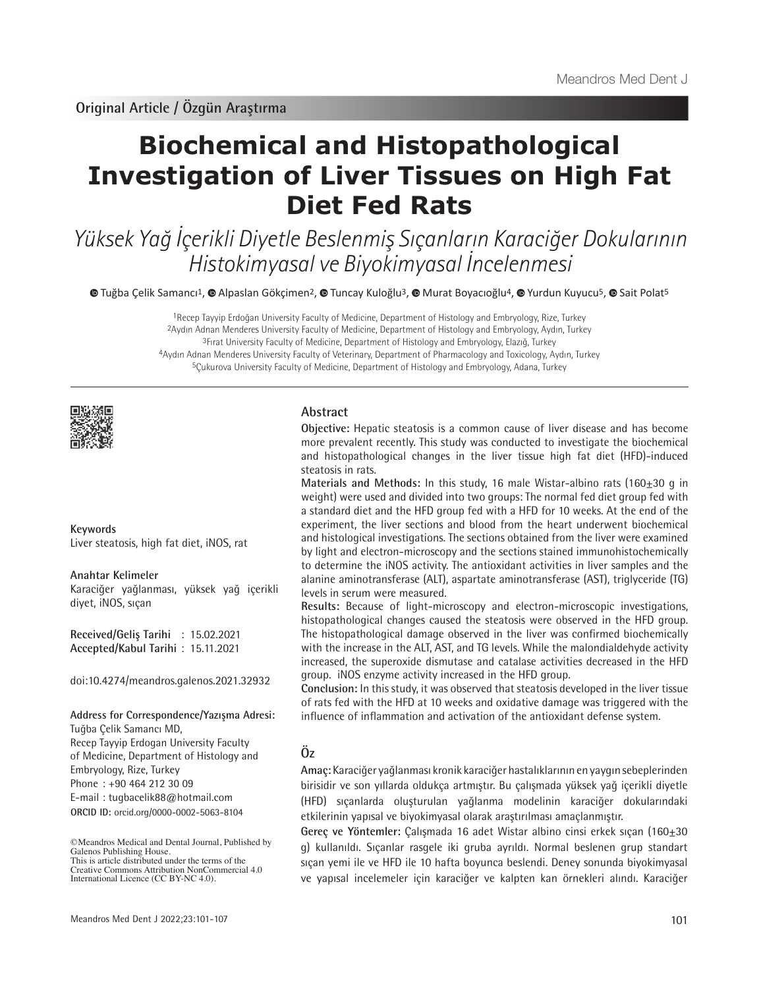# **Biochemical and Histopathological Investigation of Liver Tissues on High Fat Diet Fed Rats**

Yüksek Yağ İçerikli Diyetle Beslenmiş Sıçanların Karaciğer Dokularının Histokimyasal ve Biyokimyasal İncelenmesi

 $\bullet$  [T](https://orcid.org/0000-0002-5063-8104)uğbaÇelik Samancı<sup>1</sup>,  $\bullet$  Alpaslan Gökçimen<sup>2</sup>,  $\bullet$  Tuncay Kuloğlu<sup>3</sup>,  $\bullet$  Murat Boyacıoğlu<sup>4</sup>,  $\bullet$  [Y](https://orcid.org/0000-0001-6289-0860)urdun Kuyucu<sup>5</sup>,  $\bullet$  Sait Polat<sup>5</sup>

Recep Tayyip Erdoğan University Faculty of Medicine, Department of Histology and Embryology, Rize, Turkey Aydın Adnan Menderes University Faculty of Medicine, Department of Histology and Embryology, Aydın, Turkey Fırat University Faculty of Medicine, Department of Histology and Embryology, Elazığ, Turkey Aydın Adnan Menderes University Faculty of Veterinary, Department of Pharmacology and Toxicology, Aydın, Turkey 5Çukurova University Faculty of Medicine, Department of Histology and Embryology, Adana, Turkey



**Keywords** Liver steatosis, high fat diet, iNOS, rat

#### **Anahtar Kelimeler**

Karaciğer yağlanması, yüksek yağ içerikli diyet, iNOS, sıçan

**Received/Geliş Tarihi** : 15.02.2021 **Accepted/Kabul Tarihi** : 15.11.2021

doi:10.4274/meandros.galenos.2021.32932

**Address for Correspondence/Yazışma Adresi:**

**ORCID ID:** orcid.org/0000-0002-5063-8104 Tuğba Çelik Samancı MD, Recep Tayyip Erdogan University Faculty of Medicine, Department of Histology and Embryology, Rize, Turkey Phone : +90 464 212 30 09 E-mail : tugbacelik88@hotmail.com

©Meandros Medical and Dental Journal, Published by Galenos Publishing House. This is article distributed under the terms of the

# **Abstract**

**Objective:** Hepatic steatosis is a common cause of liver disease and has become more prevalent recently. This study was conducted to investigate the biochemical and histopathological changes in the liver tissue high fat diet (HFD)-induced steatosis in rats.

**Materials and Methods:** In this study, 16 male Wistar-albino rats (160±30 g in weight) were used and divided into two groups: The normal fed diet group fed with a standard diet and the HFD group fed with a HFD for 10 weeks. At the end of the experiment, the liver sections and blood from the heart underwent biochemical and histological investigations. The sections obtained from the liver were examined by light and electron-microscopy and the sections stained immunohistochemically to determine the iNOS activity. The antioxidant activities in liver samples and the alanine aminotransferase (ALT), aspartate aminotransferase (AST), triglyceride (TG) levels in serum were measured.

**Results:** Because of light-microscopy and electron-microscopic investigations, histopathological changes caused the steatosis were observed in the HFD group. The histopathological damage observed in the liver was confirmed biochemically with the increase in the ALT, AST, and TG levels. While the malondialdehyde activity increased, the superoxide dismutase and catalase activities decreased in the HFD group. iNOS enzyme activity increased in the HFD group.

**Conclusion:** In this study, it was observed that steatosis developed in the liver tissue of rats fed with the HFD at 10 weeks and oxidative damage was triggered with the influence of inflammation and activation of the antioxidant defense system.

# **Öz**

**Amaç:** Karaciğer yağlanması kronik karaciğer hastalıklarının en yaygın sebeplerinden birisidir ve son yıllarda oldukça artmıştır. Bu çalışmada yüksek yağ içerikli diyetle (HFD) sıçanlarda oluşturulan yağlanma modelinin karaciğer dokularındaki etkilerinin yapısal ve biyokimyasal olarak araştırılması amaçlanmıştır.

Gereç ve Yöntemler: Çalışmada 16 adet Wistar albino cinsi erkek sıçan (160±30 g) kullanıldı. Sıçanlar rasgele iki gruba ayrıldı. Normal beslenen grup standart sıçan yemi ile ve HFD ile 10 hafta boyunca beslendi. Deney sonunda biyokimyasal ve yapısal incelemeler için karaciğer ve kalpten kan örnekleri alındı. Karaciğer

Creative Commons Attribution NonCommercial 4.0 International Licence (CC BY-NC 4.0).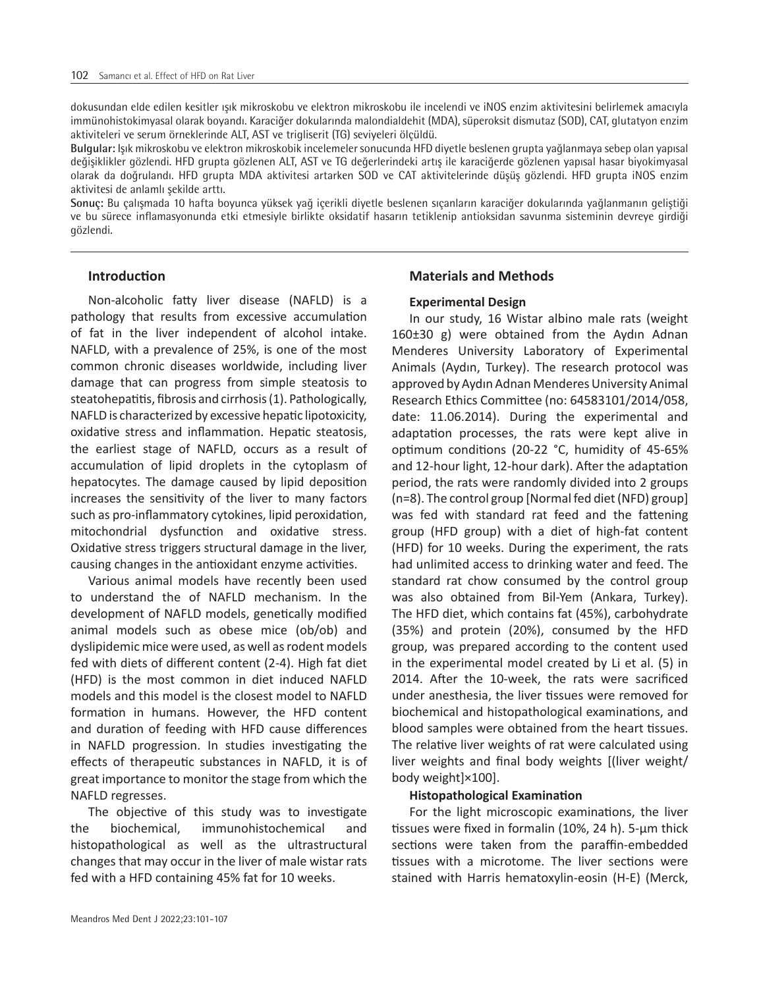dokusundan elde edilen kesitler ışık mikroskobu ve elektron mikroskobu ile incelendi ve iNOS enzim aktivitesini belirlemek amacıyla immünohistokimyasal olarak boyandı. Karaciğer dokularında malondialdehit (MDA), süperoksit dismutaz (SOD), CAT, glutatyon enzim aktiviteleri ve serum örneklerinde ALT, AST ve trigliserit (TG) seviyeleri ölçüldü.

**Bulgular:** Işık mikroskobu ve elektron mikroskobik incelemeler sonucunda HFD diyetle beslenen grupta yağlanmaya sebep olan yapısal değişiklikler gözlendi. HFD grupta gözlenen ALT, AST ve TG değerlerindeki artış ile karaciğerde gözlenen yapısal hasar biyokimyasal olarak da doğrulandı. HFD grupta MDA aktivitesi artarken SOD ve CAT aktivitelerinde düşüş gözlendi. HFD grupta iNOS enzim aktivitesi de anlamlı şekilde arttı.

**Sonuç:** Bu çalışmada 10 hafta boyunca yüksek yağ içerikli diyetle beslenen sıçanların karaciğer dokularında yağlanmanın geliştiği ve bu sürece inflamasyonunda etki etmesiyle birlikte oksidatif hasarın tetiklenip antioksidan savunma sisteminin devreye girdiği gözlendi.

## **Introduction**

Non-alcoholic fatty liver disease (NAFLD) is a pathology that results from excessive accumulation of fat in the liver independent of alcohol intake. NAFLD, with a prevalence of 25%, is one of the most common chronic diseases worldwide, including liver damage that can progress from simple steatosis to steatohepatitis, fibrosis and cirrhosis (1). Pathologically, NAFLD is characterized by excessive hepatic lipotoxicity, oxidative stress and inflammation. Hepatic steatosis, the earliest stage of NAFLD, occurs as a result of accumulation of lipid droplets in the cytoplasm of hepatocytes. The damage caused by lipid deposition increases the sensitivity of the liver to many factors such as pro-inflammatory cytokines, lipid peroxidation, mitochondrial dysfunction and oxidative stress. Oxidative stress triggers structural damage in the liver, causing changes in the antioxidant enzyme activities.

Various animal models have recently been used to understand the of NAFLD mechanism. In the development of NAFLD models, genetically modified animal models such as obese mice (ob/ob) and dyslipidemic mice were used, as well as rodent models fed with diets of different content (2-4). High fat diet (HFD) is the most common in diet induced NAFLD models and this model is the closest model to NAFLD formation in humans. However, the HFD content and duration of feeding with HFD cause differences in NAFLD progression. In studies investigating the effects of therapeutic substances in NAFLD, it is of great importance to monitor the stage from which the NAFLD regresses.

The objective of this study was to investigate the biochemical, immunohistochemical and histopathological as well as the ultrastructural changes that may occur in the liver of male wistar rats fed with a HFD containing 45% fat for 10 weeks.

# **Materials and Methods**

#### **Experimental Design**

In our study, 16 Wistar albino male rats (weight 160±30 g) were obtained from the Aydın Adnan Menderes University Laboratory of Experimental Animals (Aydın, Turkey). The research protocol was approved by Aydın Adnan Menderes University Animal Research Ethics Committee (no: 64583101/2014/058, date: 11.06.2014). During the experimental and adaptation processes, the rats were kept alive in optimum conditions (20-22 °C, humidity of 45-65% and 12-hour light, 12-hour dark). After the adaptation period, the rats were randomly divided into 2 groups (n=8). The control group [Normal fed diet (NFD) group] was fed with standard rat feed and the fattening group (HFD group) with a diet of high-fat content (HFD) for 10 weeks. During the experiment, the rats had unlimited access to drinking water and feed. The standard rat chow consumed by the control group was also obtained from Bil-Yem (Ankara, Turkey). The HFD diet, which contains fat (45%), carbohydrate (35%) and protein (20%), consumed by the HFD group, was prepared according to the content used in the experimental model created by Li et al. (5) in 2014. After the 10-week, the rats were sacrificed under anesthesia, the liver tissues were removed for biochemical and histopathological examinations, and blood samples were obtained from the heart tissues. The relative liver weights of rat were calculated using liver weights and final body weights [(liver weight/ body weight]×100].

#### **Histopathological Examination**

For the light microscopic examinations, the liver tissues were fixed in formalin (10%, 24 h). 5-μm thick sections were taken from the paraffin-embedded tissues with a microtome. The liver sections were stained with Harris hematoxylin-eosin (H-E) (Merck,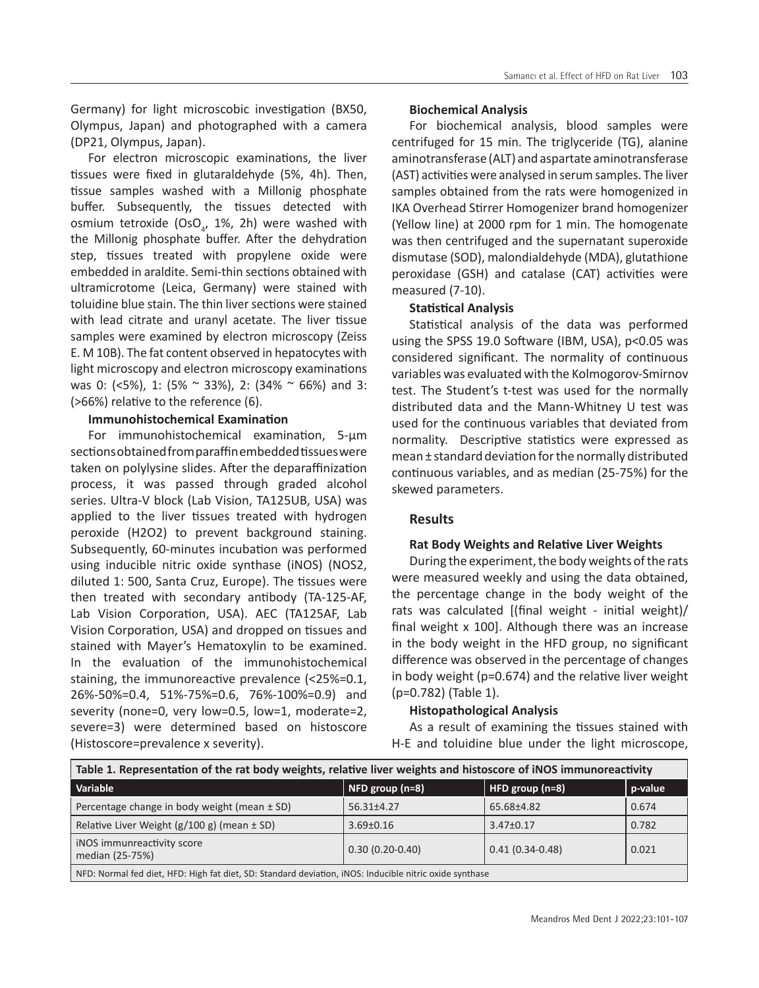Germany) for light microscobic investigation (BX50, Olympus, Japan) and photographed with a camera (DP21, Olympus, Japan).

For electron microscopic examinations, the liver tissues were fixed in glutaraldehyde (5%, 4h). Then, tissue samples washed with a Millonig phosphate buffer. Subsequently, the tissues detected with osmium tetroxide (OsO $_{\!a\!'}$  1%, 2h) were washed with the Millonig phosphate buffer. After the dehydration step, tissues treated with propylene oxide were embedded in araldite. Semi-thin sections obtained with ultramicrotome (Leica, Germany) were stained with toluidine blue stain. The thin liver sections were stained with lead citrate and uranyl acetate. The liver tissue samples were examined by electron microscopy (Zeiss E. M 10B). The fat content observed in hepatocytes with light microscopy and electron microscopy examinations was 0: (<5%), 1: (5% ~ 33%), 2: (34% ~ 66%) and 3: (>66%) relative to the reference (6).

## **Immunohistochemical Examination**

For immunohistochemical examination, 5-µm sections obtained from paraffin embedded tissues were taken on polylysine slides. After the deparaffinization process, it was passed through graded alcohol series. Ultra-V block (Lab Vision, TA125UB, USA) was applied to the liver tissues treated with hydrogen peroxide (H2O2) to prevent background staining. Subsequently, 60-minutes incubation was performed using inducible nitric oxide synthase (iNOS) (NOS2, diluted 1: 500, Santa Cruz, Europe). The tissues were then treated with secondary antibody (TA-125-AF, Lab Vision Corporation, USA). AEC (TA125AF, Lab Vision Corporation, USA) and dropped on tissues and stained with Mayer's Hematoxylin to be examined. In the evaluation of the immunohistochemical staining, the immunoreactive prevalence (<25%=0.1, 26%-50%=0.4, 51%-75%=0.6, 76%-100%=0.9) and severity (none=0, very low=0.5, low=1, moderate=2, severe=3) were determined based on histoscore (Histoscore=prevalence x severity).

#### **Biochemical Analysis**

For biochemical analysis, blood samples were centrifuged for 15 min. The triglyceride (TG), alanine aminotransferase (ALT) and aspartate aminotransferase (AST) activities were analysed in serum samples. The liver samples obtained from the rats were homogenized in IKA Overhead Stirrer Homogenizer brand homogenizer (Yellow line) at 2000 rpm for 1 min. The homogenate was then centrifuged and the supernatant superoxide dismutase (SOD), malondialdehyde (MDA), glutathione peroxidase (GSH) and catalase (CAT) activities were measured (7-10).

#### **Statistical Analysis**

Statistical analysis of the data was performed using the SPSS 19.0 Software (IBM, USA), p<0.05 was considered significant. The normality of continuous variables was evaluated with the Kolmogorov-Smirnov test. The Student's t-test was used for the normally distributed data and the Mann-Whitney U test was used for the continuous variables that deviated from normality. Descriptive statistics were expressed as mean ± standard deviation for the normally distributed continuous variables, and as median (25-75%) for the skewed parameters.

#### **Results**

#### **Rat Body Weights and Relative Liver Weights**

During the experiment, the body weights of the rats were measured weekly and using the data obtained, the percentage change in the body weight of the rats was calculated [(final weight - initial weight)/ final weight x 100]. Although there was an increase in the body weight in the HFD group, no significant difference was observed in the percentage of changes in body weight (p=0.674) and the relative liver weight (p=0.782) (Table 1).

#### **Histopathological Analysis**

As a result of examining the tissues stained with H-E and toluidine blue under the light microscope,

| Table 1. Representation of the rat body weights, relative liver weights and histoscore of iNOS immunoreactivity |                         |                   |         |  |
|-----------------------------------------------------------------------------------------------------------------|-------------------------|-------------------|---------|--|
| Variable                                                                                                        | $\vert$ NFD group (n=8) | HFD group (n=8)   | p-value |  |
| Percentage change in body weight (mean ± SD)                                                                    | $56.31 \pm 4.27$        | 65.68±4.82        | 0.674   |  |
| Relative Liver Weight $(g/100 g)$ (mean $\pm$ SD)                                                               | $3.69 \pm 0.16$         | $3.47 \pm 0.17$   | 0.782   |  |
| iNOS immunreactivity score<br>median (25-75%)                                                                   | $0.30(0.20-0.40)$       | $0.41(0.34-0.48)$ | 0.021   |  |
| NFD: Normal fed diet, HFD: High fat diet, SD: Standard deviation, iNOS: Inducible nitric oxide synthase         |                         |                   |         |  |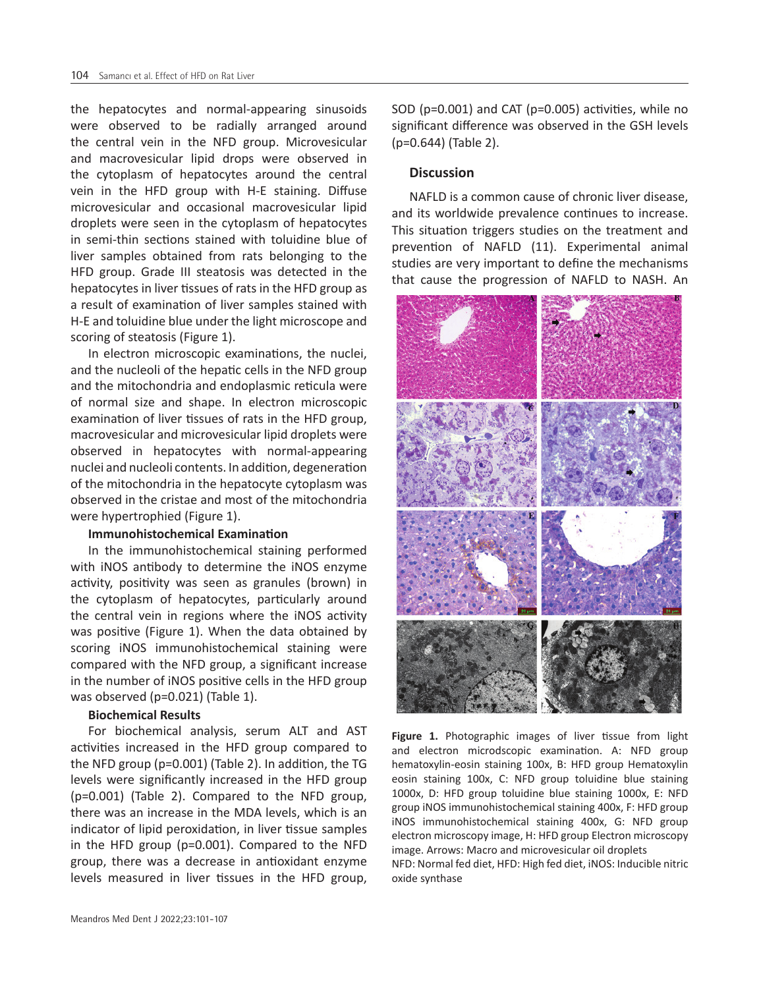the hepatocytes and normal-appearing sinusoids were observed to be radially arranged around the central vein in the NFD group. Microvesicular and macrovesicular lipid drops were observed in the cytoplasm of hepatocytes around the central vein in the HFD group with H-E staining. Diffuse microvesicular and occasional macrovesicular lipid droplets were seen in the cytoplasm of hepatocytes in semi-thin sections stained with toluidine blue of liver samples obtained from rats belonging to the HFD group. Grade III steatosis was detected in the hepatocytes in liver tissues of rats in the HFD group as a result of examination of liver samples stained with H-E and toluidine blue under the light microscope and scoring of steatosis (Figure 1).

In electron microscopic examinations, the nuclei, and the nucleoli of the hepatic cells in the NFD group and the mitochondria and endoplasmic reticula were of normal size and shape. In electron microscopic examination of liver tissues of rats in the HFD group, macrovesicular and microvesicular lipid droplets were observed in hepatocytes with normal-appearing nuclei and nucleoli contents. In addition, degeneration of the mitochondria in the hepatocyte cytoplasm was observed in the cristae and most of the mitochondria were hypertrophied (Figure 1).

#### **Immunohistochemical Examination**

In the immunohistochemical staining performed with iNOS antibody to determine the iNOS enzyme activity, positivity was seen as granules (brown) in the cytoplasm of hepatocytes, particularly around the central vein in regions where the iNOS activity was positive (Figure 1). When the data obtained by scoring iNOS immunohistochemical staining were compared with the NFD group, a significant increase in the number of iNOS positive cells in the HFD group was observed (p=0.021) (Table 1).

## **Biochemical Results**

For biochemical analysis, serum ALT and AST activities increased in the HFD group compared to the NFD group (p=0.001) (Table 2). In addition, the TG levels were significantly increased in the HFD group (p=0.001) (Table 2). Compared to the NFD group, there was an increase in the MDA levels, which is an indicator of lipid peroxidation, in liver tissue samples in the HFD group (p=0.001). Compared to the NFD group, there was a decrease in antioxidant enzyme levels measured in liver tissues in the HFD group,

SOD (p=0.001) and CAT (p=0.005) activities, while no significant difference was observed in the GSH levels (p=0.644) (Table 2).

#### **Discussion**

NAFLD is a common cause of chronic liver disease, and its worldwide prevalence continues to increase. This situation triggers studies on the treatment and prevention of NAFLD (11). Experimental animal studies are very important to define the mechanisms that cause the progression of NAFLD to NASH. An



**Figure 1.** Photographic images of liver tissue from light and electron microdscopic examination. A: NFD group hematoxylin-eosin staining 100x, B: HFD group Hematoxylin eosin staining 100x, C: NFD group toluidine blue staining 1000x, D: HFD group toluidine blue staining 1000x, E: NFD group iNOS immunohistochemical staining 400x, F: HFD group iNOS immunohistochemical staining 400x, G: NFD group electron microscopy image, H: HFD group Electron microscopy image. Arrows: Macro and microvesicular oil droplets NFD: Normal fed diet, HFD: High fed diet, iNOS: Inducible nitric oxide synthase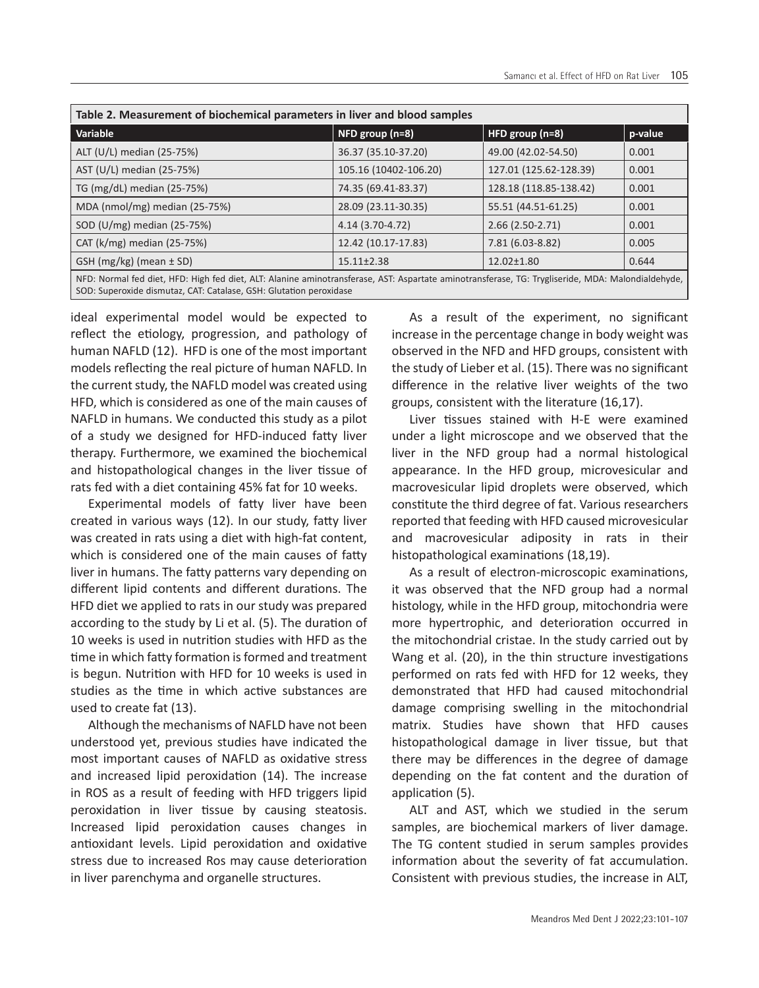| Table 2. Measurement of biochemical parameters in liver and blood samples                                                                                                                                               |                       |                        |         |  |
|-------------------------------------------------------------------------------------------------------------------------------------------------------------------------------------------------------------------------|-----------------------|------------------------|---------|--|
| Variable                                                                                                                                                                                                                | NFD group (n=8)       | HFD group $(n=8)$      | p-value |  |
| ALT (U/L) median (25-75%)                                                                                                                                                                                               | 36.37 (35.10-37.20)   | 49.00 (42.02-54.50)    | 0.001   |  |
| AST (U/L) median (25-75%)                                                                                                                                                                                               | 105.16 (10402-106.20) | 127.01 (125.62-128.39) | 0.001   |  |
| TG (mg/dL) median (25-75%)                                                                                                                                                                                              | 74.35 (69.41-83.37)   | 128.18 (118.85-138.42) | 0.001   |  |
| MDA (nmol/mg) median (25-75%)                                                                                                                                                                                           | 28.09 (23.11-30.35)   | 55.51 (44.51-61.25)    | 0.001   |  |
| SOD (U/mg) median (25-75%)                                                                                                                                                                                              | 4.14 (3.70-4.72)      | $2.66(2.50-2.71)$      | 0.001   |  |
| CAT ( $k/mg$ ) median (25-75%)                                                                                                                                                                                          | 12.42 (10.17-17.83)   | 7.81 (6.03-8.82)       | 0.005   |  |
| GSH $(mg/kg)$ (mean $\pm$ SD)                                                                                                                                                                                           | $15.11 \pm 2.38$      | $12.02 \pm 1.80$       | 0.644   |  |
| NFD: Normal fed diet, HFD: High fed diet, ALT: Alanine aminotransferase, AST: Aspartate aminotransferase, TG: Trygliseride, MDA: Malondialdehyde,<br>SOD: Superoxide dismutaz, CAT: Catalase, GSH: Glutation peroxidase |                       |                        |         |  |

ideal experimental model would be expected to reflect the etiology, progression, and pathology of human NAFLD (12). HFD is one of the most important models reflecting the real picture of human NAFLD. In the current study, the NAFLD model was created using HFD, which is considered as one of the main causes of NAFLD in humans. We conducted this study as a pilot of a study we designed for HFD-induced fatty liver therapy. Furthermore, we examined the biochemical and histopathological changes in the liver tissue of rats fed with a diet containing 45% fat for 10 weeks.

Experimental models of fatty liver have been created in various ways (12). In our study, fatty liver was created in rats using a diet with high-fat content, which is considered one of the main causes of fatty liver in humans. The fatty patterns vary depending on different lipid contents and different durations. The HFD diet we applied to rats in our study was prepared according to the study by Li et al. (5). The duration of 10 weeks is used in nutrition studies with HFD as the time in which fatty formation is formed and treatment is begun. Nutrition with HFD for 10 weeks is used in studies as the time in which active substances are used to create fat (13).

Although the mechanisms of NAFLD have not been understood yet, previous studies have indicated the most important causes of NAFLD as oxidative stress and increased lipid peroxidation (14). The increase in ROS as a result of feeding with HFD triggers lipid peroxidation in liver tissue by causing steatosis. Increased lipid peroxidation causes changes in antioxidant levels. Lipid peroxidation and oxidative stress due to increased Ros may cause deterioration in liver parenchyma and organelle structures.

As a result of the experiment, no significant increase in the percentage change in body weight was observed in the NFD and HFD groups, consistent with the study of Lieber et al. (15). There was no significant difference in the relative liver weights of the two groups, consistent with the literature (16,17).

Liver tissues stained with H-E were examined under a light microscope and we observed that the liver in the NFD group had a normal histological appearance. In the HFD group, microvesicular and macrovesicular lipid droplets were observed, which constitute the third degree of fat. Various researchers reported that feeding with HFD caused microvesicular and macrovesicular adiposity in rats in their histopathological examinations (18,19).

As a result of electron-microscopic examinations, it was observed that the NFD group had a normal histology, while in the HFD group, mitochondria were more hypertrophic, and deterioration occurred in the mitochondrial cristae. In the study carried out by Wang et al. (20), in the thin structure investigations performed on rats fed with HFD for 12 weeks, they demonstrated that HFD had caused mitochondrial damage comprising swelling in the mitochondrial matrix. Studies have shown that HFD causes histopathological damage in liver tissue, but that there may be differences in the degree of damage depending on the fat content and the duration of application (5).

ALT and AST, which we studied in the serum samples, are biochemical markers of liver damage. The TG content studied in serum samples provides information about the severity of fat accumulation. Consistent with previous studies, the increase in ALT,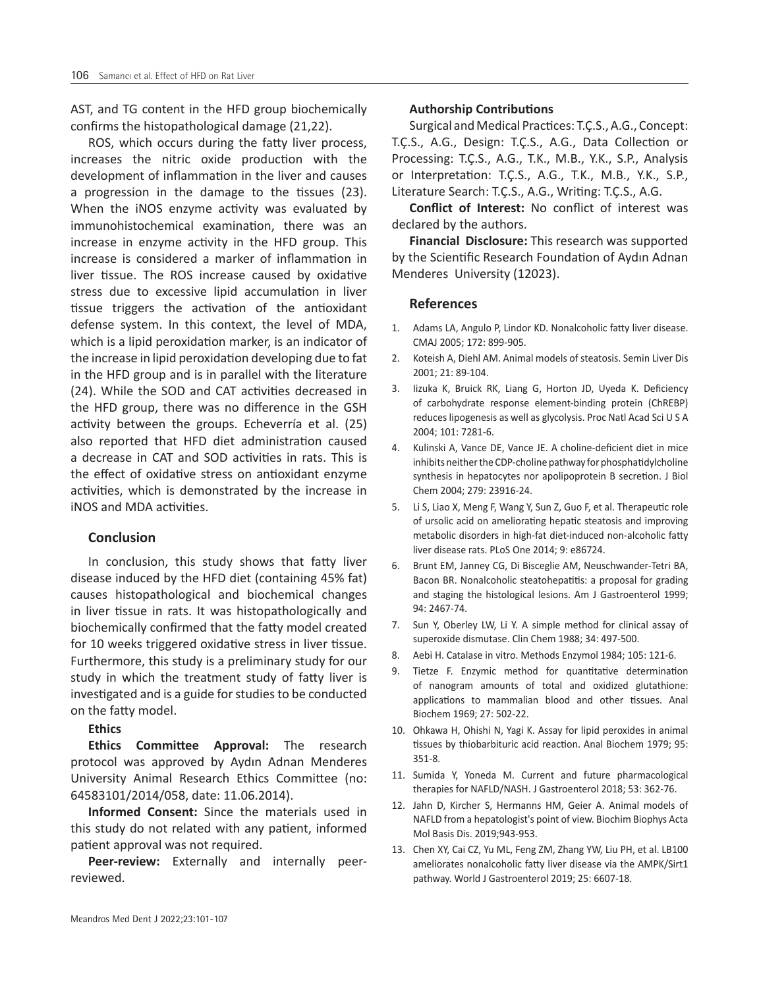AST, and TG content in the HFD group biochemically confirms the histopathological damage (21,22).

ROS, which occurs during the fatty liver process, increases the nitric oxide production with the development of inflammation in the liver and causes a progression in the damage to the tissues (23). When the iNOS enzyme activity was evaluated by immunohistochemical examination, there was an increase in enzyme activity in the HFD group. This increase is considered a marker of inflammation in liver tissue. The ROS increase caused by oxidative stress due to excessive lipid accumulation in liver tissue triggers the activation of the antioxidant defense system. In this context, the level of MDA, which is a lipid peroxidation marker, is an indicator of the increase in lipid peroxidation developing due to fat in the HFD group and is in parallel with the literature (24). While the SOD and CAT activities decreased in the HFD group, there was no difference in the GSH activity between the groups. Echeverría et al. (25) also reported that HFD diet administration caused a decrease in CAT and SOD activities in rats. This is the effect of oxidative stress on antioxidant enzyme activities, which is demonstrated by the increase in iNOS and MDA activities.

# **Conclusion**

In conclusion, this study shows that fatty liver disease induced by the HFD diet (containing 45% fat) causes histopathological and biochemical changes in liver tissue in rats. It was histopathologically and biochemically confirmed that the fatty model created for 10 weeks triggered oxidative stress in liver tissue. Furthermore, this study is a preliminary study for our study in which the treatment study of fatty liver is investigated and is a guide for studies to be conducted on the fatty model.

**Ethics** 

**Ethics Committee Approval:** The research protocol was approved by Aydın Adnan Menderes University Animal Research Ethics Committee (no: 64583101/2014/058, date: 11.06.2014).

**Informed Consent:** Since the materials used in this study do not related with any patient, informed patient approval was not required.

**Peer-review:** Externally and internally peerreviewed.

#### **Authorship Contributions**

Surgical and Medical Practices: T.Ç.S., A.G., Concept: T.Ç.S., A.G., Design: T.Ç.S., A.G., Data Collection or Processing: T.Ç.S., A.G., T.K., M.B., Y.K., S.P., Analysis or Interpretation: T.Ç.S., A.G., T.K., M.B., Y.K., S.P., Literature Search: T.Ç.S., A.G., Writing: T.Ç.S., A.G.

**Conflict of Interest:** No conflict of interest was declared by the authors.

**Financial Disclosure:** This research was supported by the Scientific Research Foundation of Aydın Adnan Menderes University (12023).

#### **References**

- 1. Adams LA, Angulo P, Lindor KD. Nonalcoholic fatty liver disease. CMAJ 2005; 172: 899-905.
- 2. Koteish A, Diehl AM. Animal models of steatosis. Semin Liver Dis 2001; 21: 89-104.
- 3. Iizuka K, Bruick RK, Liang G, Horton JD, Uyeda K. Deficiency of carbohydrate response element-binding protein (ChREBP) reduces lipogenesis as well as glycolysis. Proc Natl Acad Sci U S A 2004; 101: 7281-6.
- 4. Kulinski A, Vance DE, Vance JE. A choline-deficient diet in mice inhibits neither the CDP-choline pathway for phosphatidylcholine synthesis in hepatocytes nor apolipoprotein B secretion. J Biol Chem 2004; 279: 23916-24.
- 5. Li S, Liao X, Meng F, Wang Y, Sun Z, Guo F, et al. Therapeutic role of ursolic acid on ameliorating hepatic steatosis and improving metabolic disorders in high-fat diet-induced non-alcoholic fatty liver disease rats. PLoS One 2014; 9: e86724.
- 6. Brunt EM, Janney CG, Di Bisceglie AM, Neuschwander-Tetri BA, Bacon BR. Nonalcoholic steatohepatitis: a proposal for grading and staging the histological lesions. Am J Gastroenterol 1999; 94: 2467-74.
- 7. Sun Y, Oberley LW, Li Y. A simple method for clinical assay of superoxide dismutase. Clin Chem 1988; 34: 497-500.
- 8. Aebi H. Catalase in vitro. Methods Enzymol 1984; 105: 121-6.
- 9. Tietze F. Enzymic method for quantitative determination of nanogram amounts of total and oxidized glutathione: applications to mammalian blood and other tissues. Anal Biochem 1969; 27: 502-22.
- 10. Ohkawa H, Ohishi N, Yagi K. Assay for lipid peroxides in animal tissues by thiobarbituric acid reaction. Anal Biochem 1979; 95: 351-8.
- 11. Sumida Y, Yoneda M. Current and future pharmacological therapies for NAFLD/NASH. J Gastroenterol 2018; 53: 362-76.
- 12. Jahn D, Kircher S, Hermanns HM, Geier A. Animal models of NAFLD from a hepatologist's point of view. Biochim Biophys Acta Mol Basis Dis. 2019;943-953.
- 13. Chen XY, Cai CZ, Yu ML, Feng ZM, Zhang YW, Liu PH, et al. LB100 ameliorates nonalcoholic fatty liver disease via the AMPK/Sirt1 pathway. World J Gastroenterol 2019; 25: 6607-18.